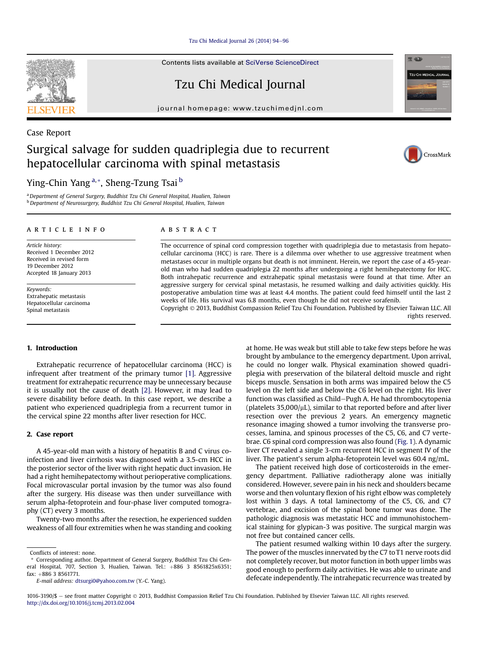[Tzu Chi Medical Journal 26 \(2014\) 94](http://dx.doi.org/10.1016/j.tcmj.2013.02.004)-[96](http://dx.doi.org/10.1016/j.tcmj.2013.02.004)

Contents lists available at [SciVerse ScienceDirect](www.sciencedirect.com/science/journal/10163190)

Tzu Chi Medical Journal

journal homepage: [www.tzuchimedjnl.com](http://www.tzuchimedjnl.com)

# Surgical salvage for sudden quadriplegia due to recurrent hepatocellular carcinoma with spinal metastasis

Ying-Chin Yang<sup>a,\*</sup>, Sheng-Tzung Tsai<sup>b</sup>

<sup>a</sup> Department of General Surgery, Buddhist Tzu Chi General Hospital, Hualien, Taiwan b Department of Neurosurgery, Buddhist Tzu Chi General Hospital, Hualien, Taiwan

#### article info

Article history: Received 1 December 2012 Received in revised form 19 December 2012 Accepted 18 January 2013

Keywords: Extrahepatic metastasis Hepatocellular carcinoma Spinal metastasis

### ABSTRACT

The occurrence of spinal cord compression together with quadriplegia due to metastasis from hepatocellular carcinoma (HCC) is rare. There is a dilemma over whether to use aggressive treatment when metastases occur in multiple organs but death is not imminent. Herein, we report the case of a 45-yearold man who had sudden quadriplegia 22 months after undergoing a right hemihepatectomy for HCC. Both intrahepatic recurrence and extrahepatic spinal metastasis were found at that time. After an aggressive surgery for cervical spinal metastasis, he resumed walking and daily activities quickly. His postoperative ambulation time was at least 4.4 months. The patient could feed himself until the last 2 weeks of life. His survival was 6.8 months, even though he did not receive sorafenib.

Copyright 2013, Buddhist Compassion Relief Tzu Chi Foundation. Published by Elsevier Taiwan LLC. All rights reserved.

# 1. Introduction

Extrahepatic recurrence of hepatocellular carcinoma (HCC) is infrequent after treatment of the primary tumor [\[1\].](#page-2-0) Aggressive treatment for extrahepatic recurrence may be unnecessary because it is usually not the cause of death [\[2\]](#page-2-0). However, it may lead to severe disability before death. In this case report, we describe a patient who experienced quadriplegia from a recurrent tumor in the cervical spine 22 months after liver resection for HCC.

# 2. Case report

A 45-year-old man with a history of hepatitis B and C virus coinfection and liver cirrhosis was diagnosed with a 3.5-cm HCC in the posterior sector of the liver with right hepatic duct invasion. He had a right hemihepatectomy without perioperative complications. Focal microvascular portal invasion by the tumor was also found after the surgery. His disease was then under surveillance with serum alpha-fetoprotein and four-phase liver computed tomography (CT) every 3 months.

Twenty-two months after the resection, he experienced sudden weakness of all four extremities when he was standing and cooking

E-mail address: [dtsurgi0@yahoo.com.tw](mailto:dtsurgi0@yahoo.com.tw) (Y.-C. Yang).

at home. He was weak but still able to take few steps before he was brought by ambulance to the emergency department. Upon arrival, he could no longer walk. Physical examination showed quadriplegia with preservation of the bilateral deltoid muscle and right biceps muscle. Sensation in both arms was impaired below the C5 level on the left side and below the C6 level on the right. His liver function was classified as Child-Pugh A. He had thrombocytopenia (platelets  $35,000/\mu L$ ), similar to that reported before and after liver resection over the previous 2 years. An emergency magnetic resonance imaging showed a tumor involving the transverse processes, lamina, and spinous processes of the C5, C6, and C7 vertebrae. C6 spinal cord compression was also found [\(Fig. 1](#page-1-0)). A dynamic liver CT revealed a single 3-cm recurrent HCC in segment IV of the liver. The patient's serum alpha-fetoprotein level was 60.4 ng/mL.

The patient received high dose of corticosteroids in the emergency department. Palliative radiotherapy alone was initially considered. However, severe pain in his neck and shoulders became worse and then voluntary flexion of his right elbow was completely lost within 3 days. A total laminectomy of the C5, C6, and C7 vertebrae, and excision of the spinal bone tumor was done. The pathologic diagnosis was metastatic HCC and immunohistochemical staining for glypican-3 was positive. The surgical margin was not free but contained cancer cells.

The patient resumed walking within 10 days after the surgery. The power of the muscles innervated by the C7 to T1 nerve roots did not completely recover, but motor function in both upper limbs was good enough to perform daily activities. He was able to urinate and defecate independently. The intrahepatic recurrence was treated by



Case Report







Conflicts of interest: none.

Corresponding author. Department of General Surgery, Buddhist Tzu Chi General Hospital, 707, Section 3, Hualien, Taiwan. Tel.:  $+886$  3 8561825x6351; fax:  $+886$  3 8561771.

<sup>1016-3190/\$ -</sup> see front matter Copyright © 2013, Buddhist Compassion Relief Tzu Chi Foundation. Published by Elsevier Taiwan LLC. All rights reserved. <http://dx.doi.org/10.1016/j.tcmj.2013.02.004>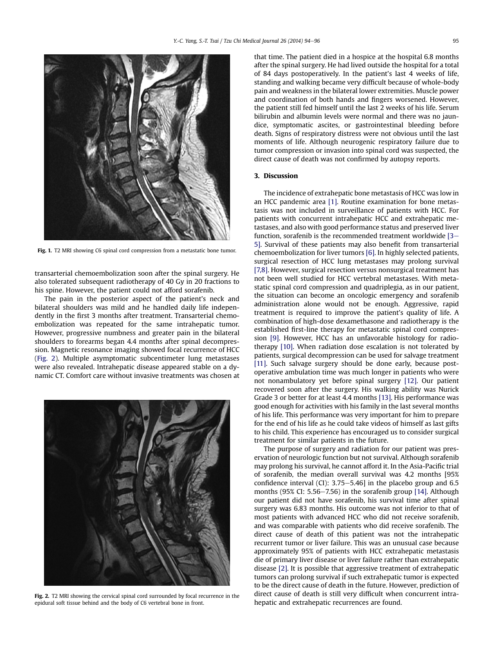<span id="page-1-0"></span>

Fig. 1. T2 MRI showing C6 spinal cord compression from a metastatic bone tumor.

transarterial chemoembolization soon after the spinal surgery. He also tolerated subsequent radiotherapy of 40 Gy in 20 fractions to his spine. However, the patient could not afford sorafenib.

The pain in the posterior aspect of the patient's neck and bilateral shoulders was mild and he handled daily life independently in the first 3 months after treatment. Transarterial chemoembolization was repeated for the same intrahepatic tumor. However, progressive numbness and greater pain in the bilateral shoulders to forearms began 4.4 months after spinal decompression. Magnetic resonance imaging showed focal recurrence of HCC (Fig. 2). Multiple asymptomatic subcentimeter lung metastases were also revealed. Intrahepatic disease appeared stable on a dynamic CT. Comfort care without invasive treatments was chosen at



Fig. 2. T2 MRI showing the cervical spinal cord surrounded by focal recurrence in the epidural soft tissue behind and the body of C6 vertebral bone in front.

that time. The patient died in a hospice at the hospital 6.8 months after the spinal surgery. He had lived outside the hospital for a total of 84 days postoperatively. In the patient's last 4 weeks of life, standing and walking became very difficult because of whole-body pain and weakness in the bilateral lower extremities. Muscle power and coordination of both hands and fingers worsened. However, the patient still fed himself until the last 2 weeks of his life. Serum bilirubin and albumin levels were normal and there was no jaundice, symptomatic ascites, or gastrointestinal bleeding before death. Signs of respiratory distress were not obvious until the last moments of life. Although neurogenic respiratory failure due to tumor compression or invasion into spinal cord was suspected, the direct cause of death was not confirmed by autopsy reports.

## 3. Discussion

The incidence of extrahepatic bone metastasis of HCC was low in an HCC pandemic area [\[1\]](#page-2-0). Routine examination for bone metastasis was not included in surveillance of patients with HCC. For patients with concurrent intrahepatic HCC and extrahepatic metastases, and also with good performance status and preserved liver function, sorafenib is the recommended treatment worldwide  $[3 [3-$ [5\]](#page-2-0). Survival of these patients may also benefit from transarterial chemoembolization for liver tumors [\[6\]](#page-2-0). In highly selected patients, surgical resection of HCC lung metastases may prolong survival [\[7,8\]](#page-2-0). However, surgical resection versus nonsurgical treatment has not been well studied for HCC vertebral metastases. With metastatic spinal cord compression and quadriplegia, as in our patient, the situation can become an oncologic emergency and sorafenib administration alone would not be enough. Aggressive, rapid treatment is required to improve the patient's quality of life. A combination of high-dose dexamethasone and radiotherapy is the established first-line therapy for metastatic spinal cord compression [\[9\].](#page-2-0) However, HCC has an unfavorable histology for radiotherapy [\[10\].](#page-2-0) When radiation dose escalation is not tolerated by patients, surgical decompression can be used for salvage treatment [\[11\].](#page-2-0) Such salvage surgery should be done early, because postoperative ambulation time was much longer in patients who were not nonambulatory yet before spinal surgery [\[12\].](#page-2-0) Our patient recovered soon after the surgery. His walking ability was Nurick Grade 3 or better for at least 4.4 months [\[13\]](#page-2-0). His performance was good enough for activities with his family in the last several months of his life. This performance was very important for him to prepare for the end of his life as he could take videos of himself as last gifts to his child. This experience has encouraged us to consider surgical treatment for similar patients in the future.

The purpose of surgery and radiation for our patient was preservation of neurologic function but not survival. Although sorafenib may prolong his survival, he cannot afford it. In the Asia-Pacific trial of sorafenib, the median overall survival was 4.2 months [95% confidence interval (CI): 3.75–5.46] in the placebo group and 6.5 months (95% CI:  $5.56-7.56$ ) in the sorafenib group [\[14\].](#page-2-0) Although our patient did not have sorafenib, his survival time after spinal surgery was 6.83 months. His outcome was not inferior to that of most patients with advanced HCC who did not receive sorafenib, and was comparable with patients who did receive sorafenib. The direct cause of death of this patient was not the intrahepatic recurrent tumor or liver failure. This was an unusual case because approximately 95% of patients with HCC extrahepatic metastasis die of primary liver disease or liver failure rather than extrahepatic disease [\[2\]](#page-2-0). It is possible that aggressive treatment of extrahepatic tumors can prolong survival if such extrahepatic tumor is expected to be the direct cause of death in the future. However, prediction of direct cause of death is still very difficult when concurrent intrahepatic and extrahepatic recurrences are found.